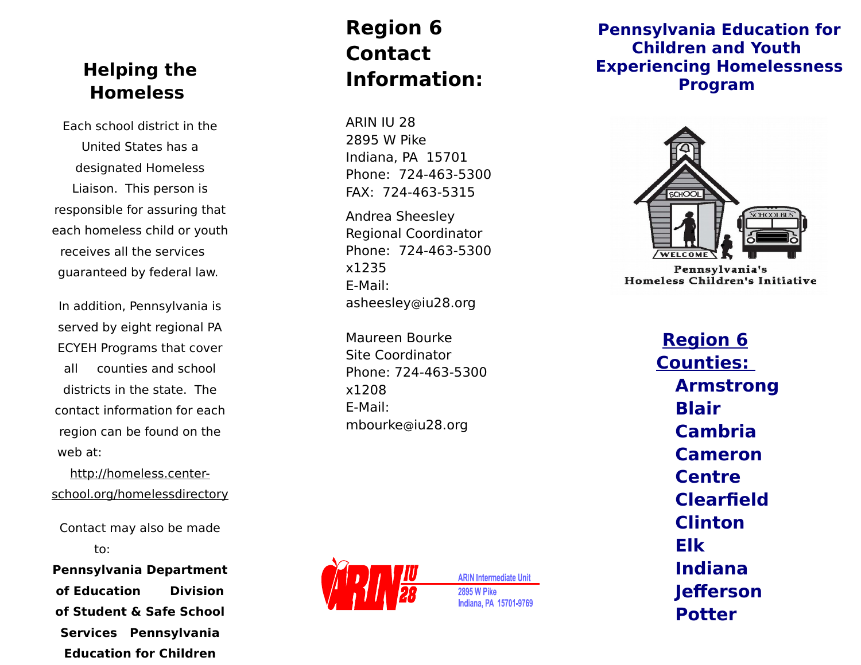## **Helping the Homeless**

Each school district in the United States has a designated Homeless Liaison. This person is responsible for assuring that each homeless child or youth receives all the services guaranteed by federal law.

In addition, Pennsylvania is served by eight regional PA ECYEH Programs that cover all counties and school districts in the state. The contact information for each region can be found on the web at:

http://homeless.centerschool.org/homelessdirectory

Contact may also be made to:

**Pennsylvania Department of Education Division of Student & Safe School Services Pennsylvania Education for Children** 

# **Region 6 Contact Information:**

ARIN IU 28 2895 W Pike Indiana, PA 15701 Phone: 724-463-5300 FAX: 724-463-5315

Andrea Sheesley Regional Coordinator Phone: 724-463-5300 x1235 E-Mail: asheesley @iu28.org

Maureen Bourke Site Coordinator Phone: 724-463-5300 x1208 E-Mail: mbourke @iu28.org



**ARIN Intermediate Unit 2895 W Pike** Indiana, PA 15701-9769

### **Pennsylvania Education for Children and Youth Experiencing Homelessness Program**



**Region 6 Counties: Armstrong Blair Cambria Cameron Centre Clearfield Clinton Elk Indiana Jefferson Potter**